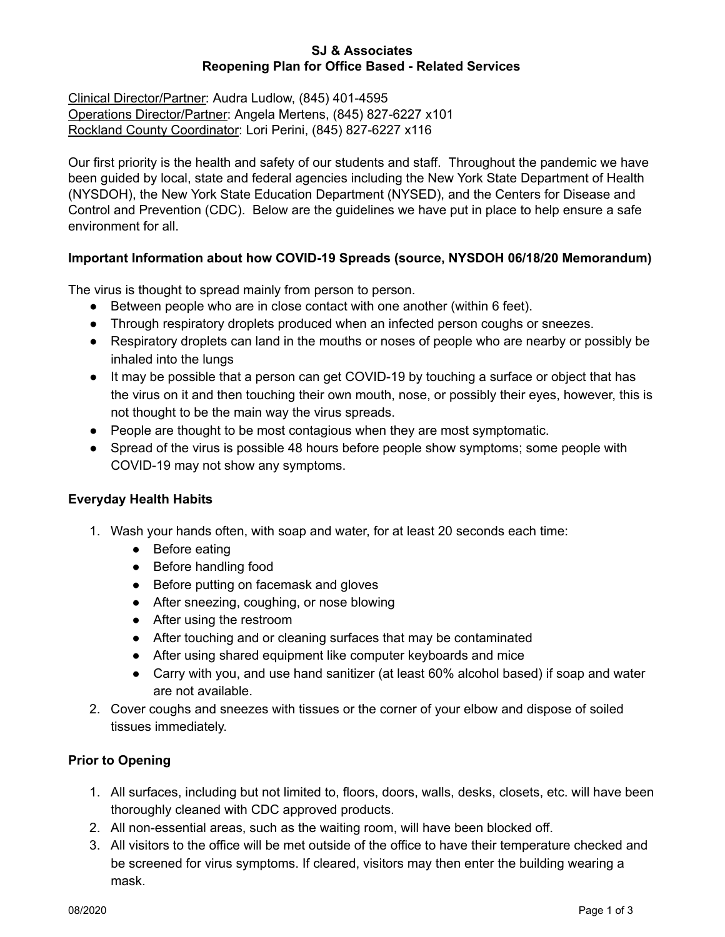### **SJ & Associates Reopening Plan for Office Based - Related Services**

Clinical Director/Partner: Audra Ludlow, (845) 401-4595 Operations Director/Partner: Angela Mertens, (845) 827-6227 x101 Rockland County Coordinator: Lori Perini, (845) 827-6227 x116

Our first priority is the health and safety of our students and staff. Throughout the pandemic we have been guided by local, state and federal agencies including the New York State Department of Health (NYSDOH), the New York State Education Department (NYSED), and the Centers for Disease and Control and Prevention (CDC). Below are the guidelines we have put in place to help ensure a safe environment for all.

## **Important Information about how COVID-19 Spreads (source, NYSDOH 06/18/20 Memorandum)**

The virus is thought to spread mainly from person to person.

- Between people who are in close contact with one another (within 6 feet).
- Through respiratory droplets produced when an infected person coughs or sneezes.
- Respiratory droplets can land in the mouths or noses of people who are nearby or possibly be inhaled into the lungs
- It may be possible that a person can get COVID-19 by touching a surface or object that has the virus on it and then touching their own mouth, nose, or possibly their eyes, however, this is not thought to be the main way the virus spreads.
- People are thought to be most contagious when they are most symptomatic.
- Spread of the virus is possible 48 hours before people show symptoms; some people with COVID-19 may not show any symptoms.

#### **Everyday Health Habits**

- 1. Wash your hands often, with soap and water, for at least 20 seconds each time:
	- Before eating
	- Before handling food
	- Before putting on facemask and gloves
	- After sneezing, coughing, or nose blowing
	- After using the restroom
	- After touching and or cleaning surfaces that may be contaminated
	- After using shared equipment like computer keyboards and mice
	- Carry with you, and use hand sanitizer (at least 60% alcohol based) if soap and water are not available.
- 2. Cover coughs and sneezes with tissues or the corner of your elbow and dispose of soiled tissues immediately.

# **Prior to Opening**

- 1. All surfaces, including but not limited to, floors, doors, walls, desks, closets, etc. will have been thoroughly cleaned with CDC approved products.
- 2. All non-essential areas, such as the waiting room, will have been blocked off.
- 3. All visitors to the office will be met outside of the office to have their temperature checked and be screened for virus symptoms. If cleared, visitors may then enter the building wearing a mask.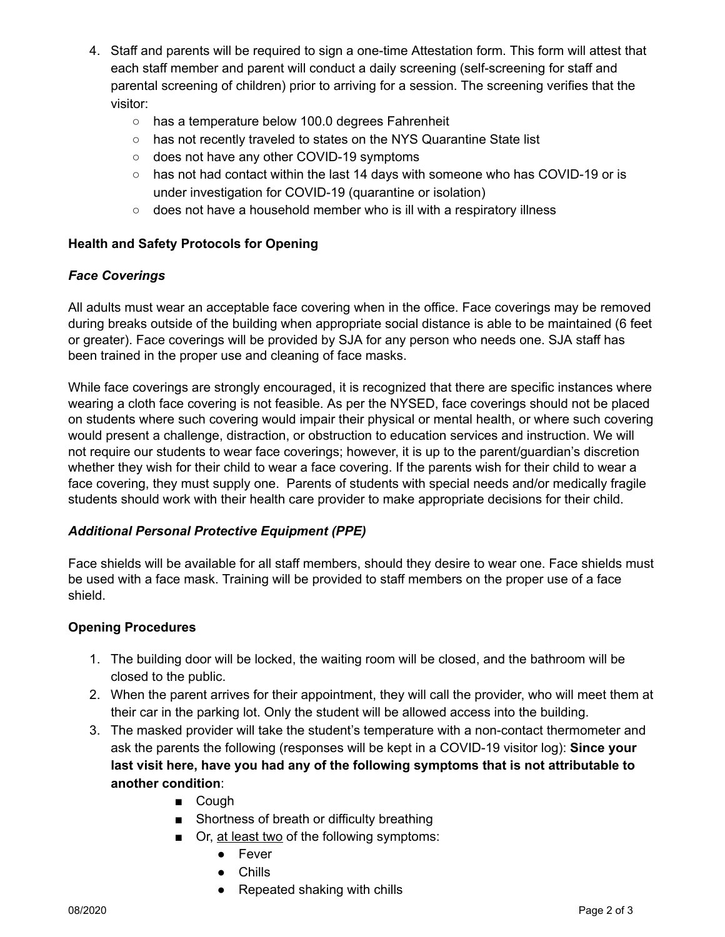- 4. Staff and parents will be required to sign a one-time Attestation form. This form will attest that each staff member and parent will conduct a daily screening (self-screening for staff and parental screening of children) prior to arriving for a session. The screening verifies that the visitor:
	- has a temperature below 100.0 degrees Fahrenheit
	- has not recently traveled to states on the NYS Quarantine State list
	- does not have any other COVID-19 symptoms
	- has not had contact within the last 14 days with someone who has COVID-19 or is under investigation for COVID-19 (quarantine or isolation)
	- does not have a household member who is ill with a respiratory illness

## **Health and Safety Protocols for Opening**

#### *Face Coverings*

All adults must wear an acceptable face covering when in the office. Face coverings may be removed during breaks outside of the building when appropriate social distance is able to be maintained (6 feet or greater). Face coverings will be provided by SJA for any person who needs one. SJA staff has been trained in the proper use and cleaning of face masks.

While face coverings are strongly encouraged, it is recognized that there are specific instances where wearing a cloth face covering is not feasible. As per the NYSED, face coverings should not be placed on students where such covering would impair their physical or mental health, or where such covering would present a challenge, distraction, or obstruction to education services and instruction. We will not require our students to wear face coverings; however, it is up to the parent/guardian's discretion whether they wish for their child to wear a face covering. If the parents wish for their child to wear a face covering, they must supply one. Parents of students with special needs and/or medically fragile students should work with their health care provider to make appropriate decisions for their child.

# *Additional Personal Protective Equipment (PPE)*

Face shields will be available for all staff members, should they desire to wear one. Face shields must be used with a face mask. Training will be provided to staff members on the proper use of a face shield.

#### **Opening Procedures**

- 1. The building door will be locked, the waiting room will be closed, and the bathroom will be closed to the public.
- 2. When the parent arrives for their appointment, they will call the provider, who will meet them at their car in the parking lot. Only the student will be allowed access into the building.
- 3. The masked provider will take the student's temperature with a non-contact thermometer and ask the parents the following (responses will be kept in a COVID-19 visitor log): **Since your last visit here, have you had any of the following symptoms that is not attributable to another condition**:
	- Cough
	- Shortness of breath or difficulty breathing
	- Or, at least two of the following symptoms:
		- Fever
			- Chills
			- Repeated shaking with chills